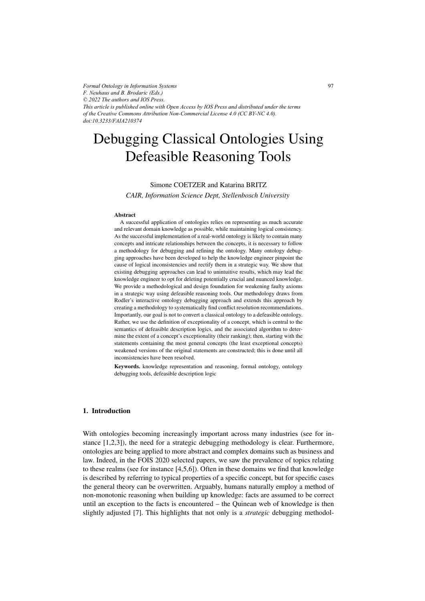*Formal Ontology in Information Systems F. Neuhaus and B. Brodaric (Eds.) © 2022 The authors and IOS Press. This article is published online with Open Access by IOS Press and distributed under the terms of the Creative Commons Attribution Non-Commercial License 4.0 (CC BY-NC 4.0). doi:10.3233/FAIA210374*

# Debugging Classical Ontologies Using Defeasible Reasoning Tools

Simone COETZER and Katarina BRITZ

*CAIR, Information Science Dept, Stellenbosch University*

#### Abstract

A successful application of ontologies relies on representing as much accurate and relevant domain knowledge as possible, while maintaining logical consistency. As the successful implementation of a real-world ontology is likely to contain many concepts and intricate relationships between the concepts, it is necessary to follow a methodology for debugging and refining the ontology. Many ontology debugging approaches have been developed to help the knowledge engineer pinpoint the cause of logical inconsistencies and rectify them in a strategic way. We show that existing debugging approaches can lead to unintuitive results, which may lead the knowledge engineer to opt for deleting potentially crucial and nuanced knowledge. We provide a methodological and design foundation for weakening faulty axioms in a strategic way using defeasible reasoning tools. Our methodology draws from Rodler's interactive ontology debugging approach and extends this approach by creating a methodology to systematically find conflict resolution recommendations. Importantly, our goal is not to convert a classical ontology to a defeasible ontology. Rather, we use the definition of exceptionality of a concept, which is central to the semantics of defeasible description logics, and the associated algorithm to determine the extent of a concept's exceptionality (their ranking); then, starting with the statements containing the most general concepts (the least exceptional concepts) weakened versions of the original statements are constructed; this is done until all inconsistencies have been resolved.

Keywords. knowledge representation and reasoning, formal ontology, ontology debugging tools, defeasible description logic

# 1. Introduction

With ontologies becoming increasingly important across many industries (see for instance [1,2,3]), the need for a strategic debugging methodology is clear. Furthermore, ontologies are being applied to more abstract and complex domains such as business and law. Indeed, in the FOIS 2020 selected papers, we saw the prevalence of topics relating to these realms (see for instance [4,5,6]). Often in these domains we find that knowledge is described by referring to typical properties of a specific concept, but for specific cases the general theory can be overwritten. Arguably, humans naturally employ a method of non-monotonic reasoning when building up knowledge: facts are assumed to be correct until an exception to the facts is encountered – the Quinean web of knowledge is then slightly adjusted [7]. This highlights that not only is a *strategic* debugging methodol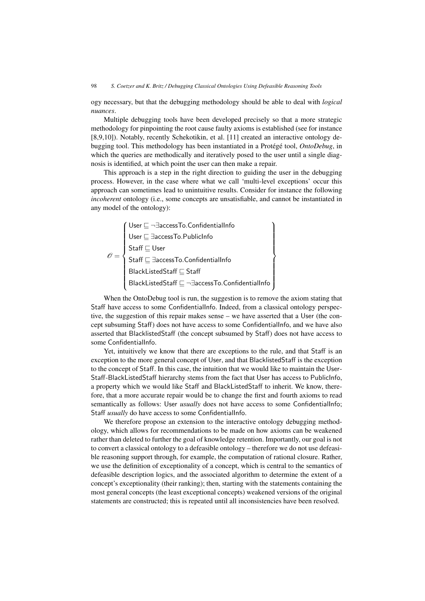ogy necessary, but that the debugging methodology should be able to deal with *logical nuances*.

Multiple debugging tools have been developed precisely so that a more strategic methodology for pinpointing the root cause faulty axioms is established (see for instance [8,9,10]). Notably, recently Schekotikin, et al. [11] created an interactive ontology debugging tool. This methodology has been instantiated in a Protégé tool, OntoDebug, in which the queries are methodically and iteratively posed to the user until a single diagnosis is identified, at which point the user can then make a repair.

This approach is a step in the right direction to guiding the user in the debugging process. However, in the case where what we call 'multi-level exceptions' occur this approach can sometimes lead to unintuitive results. Consider for instance the following *incoherent* ontology (i.e., some concepts are unsatisfiable, and cannot be instantiated in any model of the ontology):

$$
\mathscr{O} = \left\{\begin{array}{l}\text{User} \sqsubseteq \neg \exists \text{accessTo}. \text{ConfidentialInfo} \\ \text{User} \sqsubseteq \exists \text{accessTo}. \text{PublicInfo} \\ \text{Staff} \sqsubseteq \text{User} \\ \text{Staff} \sqsubseteq \exists \text{accessTo}. \text{ConfidentialInfo} \\ \text{BlackListedStaff} \sqsubseteq \text{Staff} \\ \text{BlackListedStaff} \sqsubseteq \neg \exists \text{accessTo}. \text{ConfidentialInfo} \end{array}\right\}
$$

When the OntoDebug tool is run, the suggestion is to remove the axiom stating that Staff have access to some ConfidentialInfo. Indeed, from a classical ontology perspective, the suggestion of this repair makes sense – we have asserted that a User (the concept subsuming Staff) does not have access to some ConfidentialInfo, and we have also asserted that BlacklistedStaff (the concept subsumed by Staff) does not have access to some ConfidentialInfo.

Yet, intuitively we know that there are exceptions to the rule, and that Staff is an exception to the more general concept of User, and that BlacklistedStaff is the exception to the concept of Staff. In this case, the intuition that we would like to maintain the User-Staff-BlackListedStaff hierarchy stems from the fact that User has access to PublicInfo, a property which we would like Staff and BlackListedStaff to inherit. We know, therefore, that a more accurate repair would be to change the first and fourth axioms to read semantically as follows: User *usually* does not have access to some ConfidentialInfo; Staff *usually* do have access to some ConfidentialInfo.

We therefore propose an extension to the interactive ontology debugging methodology, which allows for recommendations to be made on how axioms can be weakened rather than deleted to further the goal of knowledge retention. Importantly, our goal is not to convert a classical ontology to a defeasible ontology – therefore we do not use defeasible reasoning support through, for example, the computation of rational closure. Rather, we use the definition of exceptionality of a concept, which is central to the semantics of defeasible description logics, and the associated algorithm to determine the extent of a concept's exceptionality (their ranking); then, starting with the statements containing the most general concepts (the least exceptional concepts) weakened versions of the original statements are constructed; this is repeated until all inconsistencies have been resolved.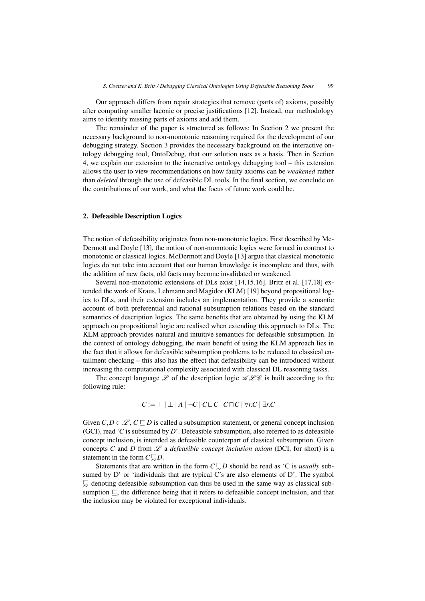Our approach differs from repair strategies that remove (parts of) axioms, possibly after computing smaller laconic or precise justifications [12]. Instead, our methodology aims to identify missing parts of axioms and add them.

The remainder of the paper is structured as follows: In Section 2 we present the necessary background to non-monotonic reasoning required for the development of our debugging strategy. Section 3 provides the necessary background on the interactive ontology debugging tool, OntoDebug, that our solution uses as a basis. Then in Section 4, we explain our extension to the interactive ontology debugging tool – this extension allows the user to view recommendations on how faulty axioms can be *weakened* rather than *deleted* through the use of defeasible DL tools. In the final section, we conclude on the contributions of our work, and what the focus of future work could be.

### 2. Defeasible Description Logics

The notion of defeasibility originates from non-monotonic logics. First described by Mc-Dermott and Doyle [13], the notion of non-monotonic logics were formed in contrast to monotonic or classical logics. McDermott and Doyle [13] argue that classical monotonic logics do not take into account that our human knowledge is incomplete and thus, with the addition of new facts, old facts may become invalidated or weakened.

Several non-monotonic extensions of DLs exist [14,15,16]. Britz et al. [17,18] extended the work of Kraus, Lehmann and Magidor (KLM) [19] beyond propositional logics to DLs, and their extension includes an implementation. They provide a semantic account of both preferential and rational subsumption relations based on the standard semantics of description logics. The same benefits that are obtained by using the KLM approach on propositional logic are realised when extending this approach to DLs. The KLM approach provides natural and intuitive semantics for defeasible subsumption. In the context of ontology debugging, the main benefit of using the KLM approach lies in the fact that it allows for defeasible subsumption problems to be reduced to classical entailment checking – this also has the effect that defeasibility can be introduced without increasing the computational complexity associated with classical DL reasoning tasks.

The concept language  $\mathscr L$  of the description logic  $\mathscr L\mathscr C$  is built according to the following rule:

$$
C := \top | \perp |A| \neg C | C \sqcup C | C \sqcap C | \forall r.C | \exists r.C
$$

Given  $C, D \in \mathcal{L}, C \sqsubseteq D$  is called a subsumption statement, or general concept inclusion (GCI), read '*C* is subsumed by *D*'. Defeasible subsumption, also referred to as defeasible concept inclusion, is intended as defeasible counterpart of classical subsumption. Given concepts *C* and *D* from  $\mathscr L$  a *defeasible concept inclusion axiom* (DCI, for short) is a statement in the form  $C \subseteq D$ .

Statements that are written in the form  $C \subseteq D$  should be read as 'C is *usually* subsumed by D' or 'individuals that are typical C's are also elements of D'. The symbol  $\overline{\mathcal{L}}$  denoting defeasible subsumption can thus be used in the same way as classical subsumption  $\sqsubseteq$ , the difference being that it refers to defeasible concept inclusion, and that the inclusion may be violated for exceptional individuals.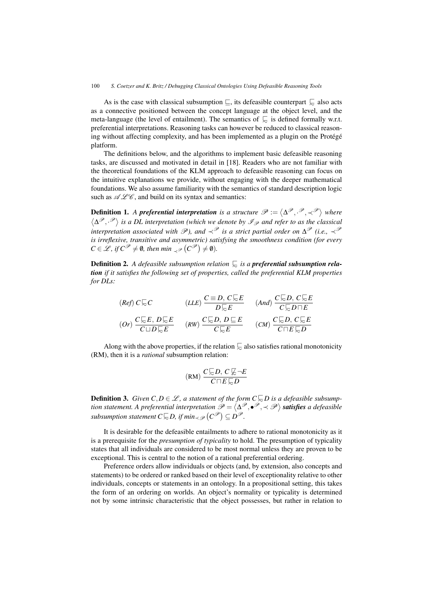As is the case with classical subsumption  $\subseteq$ , its defeasible counterpart  $\subseteq$  also acts connective negligined between the concent longuage at the object loyal, and the as a connective positioned between the concept language at the object level, and the meta-language (the level of entailment). The semantics of  $\subsetneq$  is defined formally w.r.t. preferential interpretations. Reasoning tasks can however be reduced to classical reasoning without affecting complexity, and has been implemented as a plugin on the Protégé platform.

The definitions below, and the algorithms to implement basic defeasible reasoning tasks, are discussed and motivated in detail in [18]. Readers who are not familiar with the theoretical foundations of the KLM approach to defeasible reasoning can focus on the intuitive explanations we provide, without engaging with the deeper mathematical foundations. We also assume familiarity with the semantics of standard description logic such as  $\mathscr{A}\mathscr{L}\mathscr{C}$ , and build on its syntax and semantics:

**Definition 1.** A **preferential interpretation** is a structure  $\mathscr{P} := \langle \Delta^{\mathscr{P}}, \cdot^{\mathscr{P}}, \prec^{\mathscr{P}} \rangle$  where <sup>Δ</sup>P,· P *is a DL interpretation (which we denote by* IP *and refer to as the classical interpretation associated with*  $\mathscr{P}$ *), and*  $\prec^{\mathscr{P}}$  *is a strict partial order on*  $\Delta^{\mathscr{P}}$  *(i.e.,*  $\prec^{\mathscr{P}}$ *is irreflexive, transitive and asymmetric) satisfying the smoothness condition (for every*  $C \in \mathscr{L}$ , if  $C^{\mathscr{P}} \neq \emptyset$ , then min <sub>≺</sub> $\mathscr{P}(C^{\mathscr{P}}) \neq \emptyset$ ).

**Definition 2.** *A defeasible subsumption relation*  $\subseteq$  *is a preferential subsumption rela-*<br>tion if it astisfas the following act of manuation as lied the mark mustal KLM manuation *tion if it satisfies the following set of properties, called the preferential KLM properties for DLs:*

$$
(Ref) C \subsetneq C \qquad (LLE) \frac{C \subsetneq D, C \subsetneq E}{D \subsetneq E} \qquad (And) \frac{C \subsetneq D, C \subsetneq E}{C \subsetneq D \sqcap E}
$$

$$
(Or) \frac{C \subsetneq E, D \subsetneq E}{C \sqcup D \subsetneq E} \qquad (RW) \frac{C \subsetneq D, D \subsetneq E}{C \subsetneq E} \qquad (CM) \frac{C \subsetneq D, C \subsetneq E}{C \sqcap E \subsetneq D}
$$

Along with the above properties, if the relation  $\sum$  also satisfies rational monotonicity (RM), then it is a *rational* subsumption relation:

$$
(RM)\ \frac{C\sqrt{C}D,\ C\sqrt{C}-E}{C\Box E\sqrt{C}D}
$$

**Definition 3.** *Given C*, $D \in \mathcal{L}$ , a statement of the form  $C \subseteq D$  is a defeasible subsump-<br>
tion statement A and positive intermetation  $\mathcal{L}$  and  $\mathcal{L} \subseteq \mathcal{L}$  and positive and provided *tion statement. A preferential interpretation*  $\mathscr{P} = \langle \Delta^{\mathscr{P}}, \bullet^{\mathscr{P}}, \prec \mathscr{P} \rangle$  satisfies a defeasible  $\mathit subsumption statement$   $C \mathbb{E}D$ , if  $\mathit{min}_{\prec \mathscr{P}}(C^{\mathscr{P}}) \subseteq D^{\mathscr{P}}$ .

It is desirable for the defeasible entailments to adhere to rational monotonicity as it is a prerequisite for the *presumption of typicality* to hold. The presumption of typicality states that all individuals are considered to be most normal unless they are proven to be exceptional. This is central to the notion of a rational preferential ordering.

Preference orders allow individuals or objects (and, by extension, also concepts and statements) to be ordered or ranked based on their level of exceptionality relative to other individuals, concepts or statements in an ontology. In a propositional setting, this takes the form of an ordering on worlds. An object's normality or typicality is determined not by some intrinsic characteristic that the object possesses, but rather in relation to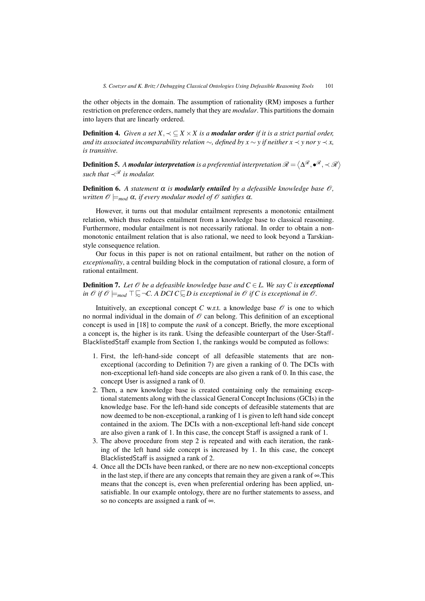the other objects in the domain. The assumption of rationality (RM) imposes a further restriction on preference orders, namely that they are *modular*. This partitions the domain into layers that are linearly ordered.

**Definition 4.** *Given a set*  $X, \prec \subset X \times X$  *is a modular order if it is a strict partial order, and its associated incomparability relation* ∼*, defined by x* ∼ *y if neither x* ≺ *y nor y* ≺ *x, is transitive.*

**Definition 5.** A modular interpretation is a preferential interpretation  $\mathcal{R} = \langle \Delta^{\mathcal{R}}, \bullet^{\mathcal{R}}, \prec \mathcal{R} \rangle$ *such that*  $\prec^{\mathcal{R}}$  *is modular.* 

**Definition 6.** A statement  $\alpha$  is **modularly entailed** by a defeasible knowledge base  $\mathcal{O}$ , *written*  $\mathscr{O} \models_{mod} \alpha$ *, if every modular model of*  $\mathscr{O}$  *satisfies*  $\alpha$ *.* 

However, it turns out that modular entailment represents a monotonic entailment relation, which thus reduces entailment from a knowledge base to classical reasoning. Furthermore, modular entailment is not necessarily rational. In order to obtain a nonmonotonic entailment relation that is also rational, we need to look beyond a Tarskianstyle consequence relation.

Our focus in this paper is not on rational entailment, but rather on the notion of *exceptionality*, a central building block in the computation of rational closure, a form of rational entailment.

**Definition 7.** Let  $\mathcal O$  be a defeasible knowledge base and  $C \in L$ . We say C is **exceptional** *in*  $\emptyset$  *if*  $\emptyset$   $\models$ <sub>*mod*</sub>  $\top \leftarrowsim$ *-C.* A DCI C $\subseteq$ D is exceptional in  $\emptyset$  *if* C is exceptional in  $\emptyset$ .

Intuitively, an exceptional concept *C* w.r.t. a knowledge base  $\mathcal O$  is one to which no normal individual in the domain of  $\mathcal O$  can belong. This definition of an exceptional concept is used in [18] to compute the *rank* of a concept. Briefly, the more exceptional a concept is, the higher is its rank. Using the defeasible counterpart of the User-Staff-BlacklistedStaff example from Section 1, the rankings would be computed as follows:

- 1. First, the left-hand-side concept of all defeasible statements that are nonexceptional (according to Definition 7) are given a ranking of 0. The DCIs with non-exceptional left-hand side concepts are also given a rank of 0. In this case, the concept User is assigned a rank of 0.
- 2. Then, a new knowledge base is created containing only the remaining exceptional statements along with the classical General Concept Inclusions (GCIs) in the knowledge base. For the left-hand side concepts of defeasible statements that are now deemed to be non-exceptional, a ranking of 1 is given to left hand side concept contained in the axiom. The DCIs with a non-exceptional left-hand side concept are also given a rank of 1. In this case, the concept Staff is assigned a rank of 1.
- 3. The above procedure from step 2 is repeated and with each iteration, the ranking of the left hand side concept is increased by 1. In this case, the concept BlacklistedStaff is assigned a rank of 2.
- 4. Once all the DCIs have been ranked, or there are no new non-exceptional concepts in the last step, if there are any concepts that remain they are given a rank of ∞.This means that the concept is, even when preferential ordering has been applied, unsatisfiable. In our example ontology, there are no further statements to assess, and so no concepts are assigned a rank of ∞.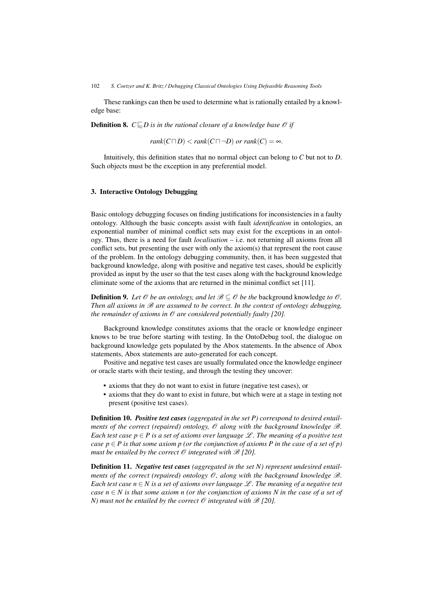These rankings can then be used to determine what is rationally entailed by a knowledge base:

**Definition 8.**  $C \subseteq D$  is in the rational closure of a knowledge base  $\mathcal{O}$  if

 $rank(C \sqcap D) < rank(C \sqcap \neg D)$  *or rank* $(C) = \infty$ .

Intuitively, this definition states that no normal object can belong to *C* but not to *D*. Such objects must be the exception in any preferential model.

# 3. Interactive Ontology Debugging

Basic ontology debugging focuses on finding justifications for inconsistencies in a faulty ontology. Although the basic concepts assist with fault *identification* in ontologies, an exponential number of minimal conflict sets may exist for the exceptions in an ontology. Thus, there is a need for fault *localisation* – i.e. not returning all axioms from all conflict sets, but presenting the user with only the axiom(s) that represent the root cause of the problem. In the ontology debugging community, then, it has been suggested that background knowledge, along with positive and negative test cases, should be explicitly provided as input by the user so that the test cases along with the background knowledge eliminate some of the axioms that are returned in the minimal conflict set [11].

**Definition 9.** Let  $\mathcal{O}$  be an ontology, and let  $\mathcal{B} \subseteq \mathcal{O}$  be the background knowledge to  $\mathcal{O}$ . *Then all axioms in*  $\mathcal{B}$  *are assumed to be correct. In the context of ontology debugging, the remainder of axioms in*  $\mathcal O$  *are considered potentially faulty [20].* 

Background knowledge constitutes axioms that the oracle or knowledge engineer knows to be true before starting with testing. In the OntoDebug tool, the dialogue on background knowledge gets populated by the Abox statements. In the absence of Abox statements, Abox statements are auto-generated for each concept.

Positive and negative test cases are usually formulated once the knowledge engineer or oracle starts with their testing, and through the testing they uncover:

- axioms that they do not want to exist in future (negative test cases), or
- axioms that they do want to exist in future, but which were at a stage in testing not present (positive test cases).

Definition 10. *Positive test cases (aggregated in the set P) correspond to desired entailments of the correct (repaired) ontology,*  $\mathcal O$  *along with the background knowledge*  $\mathcal B$ *. Each test case*  $p \in P$  *is a set of axioms over language* L. The meaning of a positive test *case p*  $\in$  *P* is that some axiom p (or the conjunction of axioms *P* in the case of a set of p) *must be entailed by the correct*  $\mathcal O$  *integrated with*  $\mathcal B$  [20].

Definition 11. *Negative test cases (aggregated in the set N) represent undesired entailments of the correct (repaired) ontology*  $\mathcal{O}$ *, along with the background knowledge*  $\mathcal{B}$ *. Each test case n*  $\in$  *N is a set of axioms over language*  $\mathcal{L}$ *. The meaning of a negative test case*  $n \in N$  *is that some axiom n (or the conjunction of axioms N in the case of a set of N)* must not be entailed by the correct  $\mathcal O$  integrated with  $\mathcal B$  [20].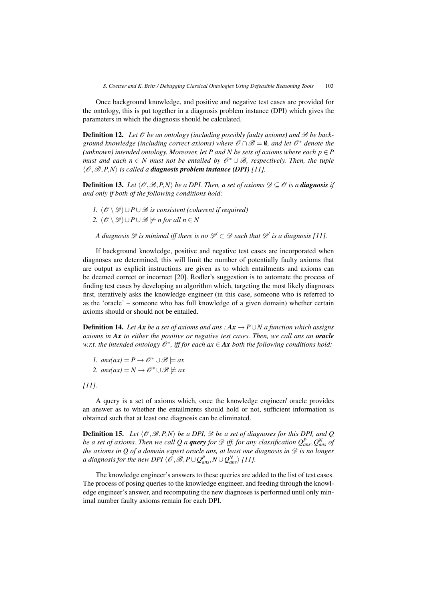Once background knowledge, and positive and negative test cases are provided for the ontology, this is put together in a diagnosis problem instance (DPI) which gives the parameters in which the diagnosis should be calculated.

**Definition 12.** Let  $\mathcal O$  be an ontology (including possibly faulty axioms) and  $\mathcal B$  be back*ground knowledge (including correct axioms) where*  $\mathscr{O} \cap \mathscr{B} = \emptyset$ , and let  $\mathscr{O}^*$  denote the (unknown) intended ontology. Moreover, let P and N be sets of axioms where each  $p \in P$ *must and each n* ∈ *N* must not be entailed by  $\mathcal{O}^* \cup \mathcal{B}$ , respectively. Then, the tuple  $\langle \mathcal{O}, \mathcal{B}, P, N \rangle$  *is called a diagnosis problem instance (DPI)* [11].

**Definition 13.** Let  $\langle \mathcal{O}, \mathcal{B}, P, N \rangle$  be a DPI. Then, a set of axioms  $\mathcal{D} \subseteq \mathcal{O}$  is a **diagnosis** if *and only if both of the following conditions hold:*

*1.*  $(\mathcal{O} \setminus \mathcal{D}) \cup P \cup \mathcal{B}$  *is consistent (coherent if required) 2.*  $(\mathcal{O} \setminus \mathcal{D}) \cup P \cup \mathcal{B} \not\models n$  for all  $n \in N$ 

*A diagnosis*  $\mathscr{D}$  *is minimal iff there is no*  $\mathscr{D}' \subset \mathscr{D}$  *such that*  $\mathscr{D}'$  *is a diagnosis* [11].

If background knowledge, positive and negative test cases are incorporated when diagnoses are determined, this will limit the number of potentially faulty axioms that are output as explicit instructions are given as to which entailments and axioms can be deemed correct or incorrect [20]. Rodler's suggestion is to automate the process of finding test cases by developing an algorithm which, targeting the most likely diagnoses first, iteratively asks the knowledge engineer (in this case, someone who is referred to as the 'oracle' – someone who has full knowledge of a given domain) whether certain axioms should or should not be entailed.

**Definition 14.** Let  $Ax$  be a set of axioms and ans :  $Ax \to P \cup N$  a function which assigns *axioms in Ax to either the positive or negative test cases. Then, we call ans an oracle w.r.t. the intended ontology*  $\mathcal{O}^*$ , *iff for each ax*  $\in$  *Ax both the following conditions hold:* 

*1.* ans(ax) =  $P$  →  $\mathcal{O}^* \cup \mathcal{B}$   $\models ax$ 2.  $ans(ax) = N \rightarrow \mathcal{O}^* \cup \mathcal{B} \neq ax$ 

*[11].*

A query is a set of axioms which, once the knowledge engineer/ oracle provides an answer as to whether the entailments should hold or not, sufficient information is obtained such that at least one diagnosis can be eliminated.

**Definition 15.** Let  $\langle \mathcal{O}, \mathcal{B}, P, N \rangle$  be a DPI,  $\mathcal{D}$  be a set of diagnoses for this DPI, and Q *be a set of axioms. Then we call*  $Q$  *a query for*  $\mathscr D$  *iff, for any classification*  $Q^P_{ans},Q^N_{ans}$  *of the axioms in Q of a domain expert oracle ans, at least one diagnosis in* D *is no longer a diagnosis for the new DPI*  $\langle \mathscr{O}, \mathscr{B}, P \cup Q_{ans}^P, N \cup Q_{ans}^N \rangle$  [11].

The knowledge engineer's answers to these queries are added to the list of test cases. The process of posing queries to the knowledge engineer, and feeding through the knowledge engineer's answer, and recomputing the new diagnoses is performed until only minimal number faulty axioms remain for each DPI.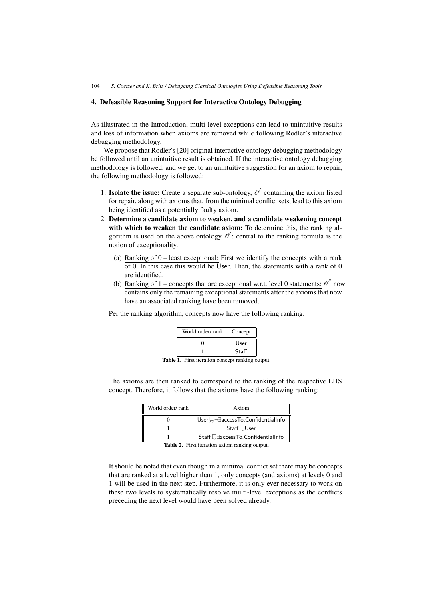# 4. Defeasible Reasoning Support for Interactive Ontology Debugging

As illustrated in the Introduction, multi-level exceptions can lead to unintuitive results and loss of information when axioms are removed while following Rodler's interactive debugging methodology.

We propose that Rodler's [20] original interactive ontology debugging methodology be followed until an unintuitive result is obtained. If the interactive ontology debugging methodology is followed, and we get to an unintuitive suggestion for an axiom to repair, the following methodology is followed:

- 1. **Isolate the issue:** Create a separate sub-ontology,  $\mathcal{O}'$  containing the axiom listed for repair, along with axioms that, from the minimal conflict sets, lead to this axiom being identified as a potentially faulty axiom.
- 2. Determine a candidate axiom to weaken, and a candidate weakening concept with which to weaken the candidate axiom: To determine this, the ranking algorithm is used on the above ontology  $\mathscr O'$ : central to the ranking formula is the notion of exceptionality.
	- (a) Ranking of 0 least exceptional: First we identify the concepts with a rank  $\overline{\text{of } 0}$ . In this case this would be User. Then, the statements with a rank of 0 are identified.
	- (b) Ranking of 1 concepts that are exceptional w.r.t. level 0 statements:  $\mathcal{O}^{\prime\prime}$  now contains only the remaining exceptional statements after the axioms that now have an associated ranking have been removed.

Per the ranking algorithm, concepts now have the following ranking:

| World order/rank | Concept |
|------------------|---------|
|                  | User    |
|                  | Staff   |

Table 1. First iteration concept ranking output.

The axioms are then ranked to correspond to the ranking of the respective LHS concept. Therefore, it follows that the axioms have the following ranking:

| Axiom                                              |
|----------------------------------------------------|
| User $\Box \neg \exists$ accessTo.ConfidentialInfo |
| $Staff \subseteq User$                             |
| Staff E∃access To. ConfidentialInfo                |
|                                                    |

Table 2. First iteration axiom ranking output.

It should be noted that even though in a minimal conflict set there may be concepts that are ranked at a level higher than 1, only concepts (and axioms) at levels 0 and 1 will be used in the next step. Furthermore, it is only ever necessary to work on these two levels to systematically resolve multi-level exceptions as the conflicts preceding the next level would have been solved already.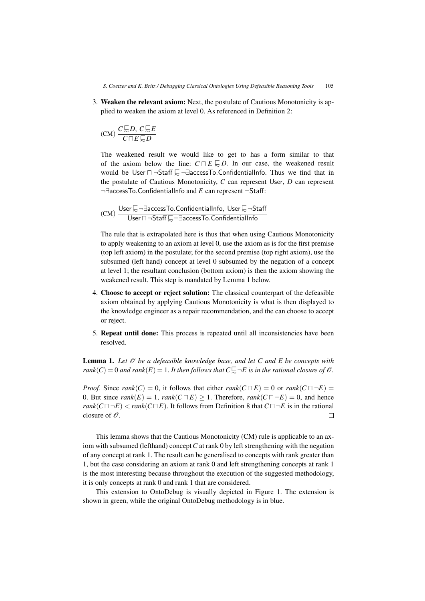3. Weaken the relevant axiom: Next, the postulate of Cautious Monotonicity is applied to weaken the axiom at level 0. As referenced in Definition 2:

$$
(CM) \ \frac{C \sqsubseteq D, \ C \sqsubseteq E}{C \sqcap E \sqsubseteq D}
$$

The weakened result we would like to get to has a form similar to that of the axiom below the line:  $C \sqcap E \subsetneq D$ . In our case, the weakened result would be User  $\neg$   $\neg$ Staff  $\bigtriangledown$   $\neg$ ∃accessTo.ConfidentialInfo. Thus we find that in the postulate of Cautious Monotonicity, *C* can represent User, *D* can represent ¬∃accessTo.ConfidentialInfo and *<sup>E</sup>* can represent <sup>¬</sup>Staff:

$$
(CM) \ \frac{\text{User} \sqsubseteq \neg \exists \text{accessTo}. \text{ConfidentialInfo}, \ \text{User} \sqsubseteq \neg \text{Staff}}{\text{User} \sqcap \neg \text{Staff} \sqsubseteq \neg \exists \text{accessTo}. \text{ConfidentialInfo}}
$$

The rule that is extrapolated here is thus that when using Cautious Monotonicity to apply weakening to an axiom at level 0, use the axiom as is for the first premise (top left axiom) in the postulate; for the second premise (top right axiom), use the subsumed (left hand) concept at level 0 subsumed by the negation of a concept at level 1; the resultant conclusion (bottom axiom) is then the axiom showing the weakened result. This step is mandated by Lemma 1 below.

- 4. Choose to accept or reject solution: The classical counterpart of the defeasible axiom obtained by applying Cautious Monotonicity is what is then displayed to the knowledge engineer as a repair recommendation, and the can choose to accept or reject.
- 5. Repeat until done: This process is repeated until all inconsistencies have been resolved.

**Lemma 1.** Let  $\mathcal O$  be a defeasible knowledge base, and let C and E be concepts with  $rank(C) = 0$  and  $rank(E) = 1$ . It then follows that  $C \subsetneq \neg E$  is in the rational closure of  $\mathcal{O}$ .

*Proof.* Since *rank*(*C*) = 0, it follows that either *rank*( $C \sqcap E$ ) = 0 or *rank*( $C \sqcap \neg E$ ) = 0. But since  $rank(E) = 1$ ,  $rank(C \sqcap E) \ge 1$ . Therefore,  $rank(C \sqcap \neg E) = 0$ , and hence *rank*( $C \sqcap \neg E$ ) < *rank*( $C \sqcap E$ ). It follows from Definition 8 that  $C \sqcap \neg E$  is in the rational closure of  $\mathcal{O}$ . closure of  $\mathcal O$ .

This lemma shows that the Cautious Monotonicity (CM) rule is applicable to an axiom with subsumed (lefthand) concept*C* at rank 0 by left strengthening with the negation of any concept at rank 1. The result can be generalised to concepts with rank greater than 1, but the case considering an axiom at rank 0 and left strengthening concepts at rank 1 is the most interesting because throughout the execution of the suggested methodology, it is only concepts at rank 0 and rank 1 that are considered.

This extension to OntoDebug is visually depicted in Figure 1. The extension is shown in green, while the original OntoDebug methodology is in blue.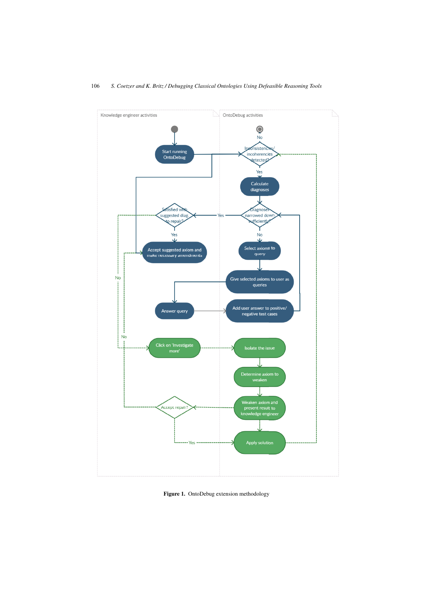

Figure 1. OntoDebug extension methodology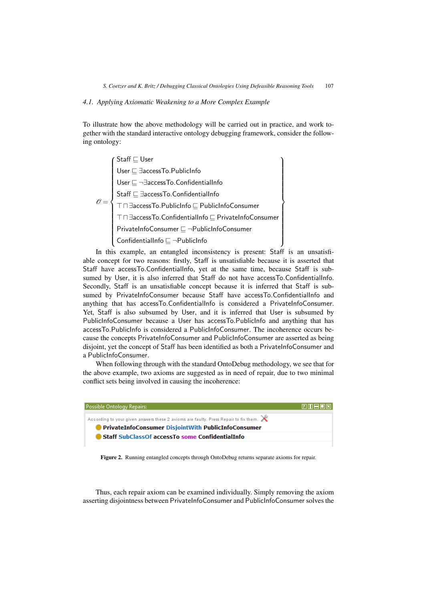# *4.1. Applying Axiomatic Weakening to a More Complex Example*

To illustrate how the above methodology will be carried out in practice, and work together with the standard interactive ontology debugging framework, consider the following ontology:

 $\mathscr{O} =$  $\int$  Staff  $\sqsubseteq$  User  $<sub>1</sub>$ </sub>  $<sub>1</sub>$ </sub> User  $\sqsubseteq$   $\exists$ accessTo.PublicInfo  $Use \sqsubseteq \neg \exists accessTo.ConfidentialInfo$  $\mathsf{Staff} \sqsubseteq \exists \mathsf{accessTo}.\mathsf{Confidential}$  $\top$   $\sqcap$   $\exists$ accessTo.PublicInfo  $\sqsubseteq$  PublicInfoConsumer  $\top$   $\sqcap$   $\exists$ access $\top$ o.ConfidentialInfo $\sqsubseteq$  PrivateInfoConsumer  ${\sf PrivateInfoConsumer} \sqsubseteq \neg {\sf PublicInfoConsumer}$  $\mathsf{Confidential}$   $\sqsubseteq \neg \mathsf{PublicInfo}$  $\mathcal{L}$  $<sub>1</sub>$ </sub>  $\sqrt{2}$ 

In this example, an entangled inconsistency is present: Staff is an unsatisfiable concept for two reasons: firstly, Staff is unsatisfiable because it is asserted that Staff have accessTo.ConfidentialInfo, yet at the same time, because Staff is subsumed by User, it is also inferred that Staff do not have accessTo.ConfidentialInfo. Secondly, Staff is an unsatisfiable concept because it is inferred that Staff is subsumed by PrivateInfoConsumer because Staff have accessTo.ConfidentialInfo and anything that has accessTo.ConfidentialInfo is considered a PrivateInfoConsumer. Yet, Staff is also subsumed by User, and it is inferred that User is subsumed by PublicInfoConsumer because a User has accessTo.PublicInfo and anything that has accessTo.PublicInfo is considered a PublicInfoConsumer. The incoherence occurs because the concepts PrivateInfoConsumer and PublicInfoConsumer are asserted as being disjoint, yet the concept of Staff has been identified as both a PrivateInfoConsumer and a PublicInfoConsumer.

When following through with the standard OntoDebug methodology, we see that for the above example, two axioms are suggested as in need of repair, due to two minimal conflict sets being involved in causing the incoherence:



Figure 2. Running entangled concepts through OntoDebug returns separate axioms for repair.

Thus, each repair axiom can be examined individually. Simply removing the axiom asserting disjointness between PrivateInfoConsumer and PublicInfoConsumer solves the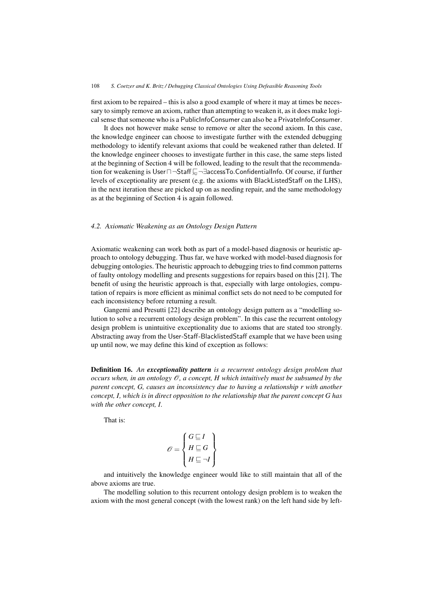first axiom to be repaired – this is also a good example of where it may at times be necessary to simply remove an axiom, rather than attempting to weaken it, as it does make logical sense that someone who is a PublicInfoConsumer can also be a PrivateInfoConsumer.

It does not however make sense to remove or alter the second axiom. In this case, the knowledge engineer can choose to investigate further with the extended debugging methodology to identify relevant axioms that could be weakened rather than deleted. If the knowledge engineer chooses to investigate further in this case, the same steps listed at the beginning of Section 4 will be followed, leading to the result that the recommendation for weakening is User $\Box$ ¬Staff $\Box$ ¬∃accessTo.ConfidentialInfo. Of course, if further levels of exceptionality are present (e.g. the axioms with BlackListedStaff on the LHS), in the next iteration these are picked up on as needing repair, and the same methodology as at the beginning of Section 4 is again followed.

## *4.2. Axiomatic Weakening as an Ontology Design Pattern*

Axiomatic weakening can work both as part of a model-based diagnosis or heuristic approach to ontology debugging. Thus far, we have worked with model-based diagnosis for debugging ontologies. The heuristic approach to debugging tries to find common patterns of faulty ontology modelling and presents suggestions for repairs based on this [21]. The benefit of using the heuristic approach is that, especially with large ontologies, computation of repairs is more efficient as minimal conflict sets do not need to be computed for each inconsistency before returning a result.

Gangemi and Presutti [22] describe an ontology design pattern as a "modelling solution to solve a recurrent ontology design problem". In this case the recurrent ontology design problem is unintuitive exceptionality due to axioms that are stated too strongly. Abstracting away from the User-Staff-BlacklistedStaff example that we have been using up until now, we may define this kind of exception as follows:

Definition 16. *An exceptionality pattern is a recurrent ontology design problem that occurs when, in an ontology*  $\mathcal{O}$ *, a concept, H which intuitively must be subsumed by the parent concept, G, causes an inconsistency due to having a relationship r with another concept, I, which is in direct opposition to the relationship that the parent concept G has with the other concept, I.*

That is:

$$
\mathcal{O} = \begin{Bmatrix} G \sqsubseteq I \\ H \sqsubseteq G \\ H \sqsubseteq \neg I \end{Bmatrix}
$$

and intuitively the knowledge engineer would like to still maintain that all of the above axioms are true.

The modelling solution to this recurrent ontology design problem is to weaken the axiom with the most general concept (with the lowest rank) on the left hand side by left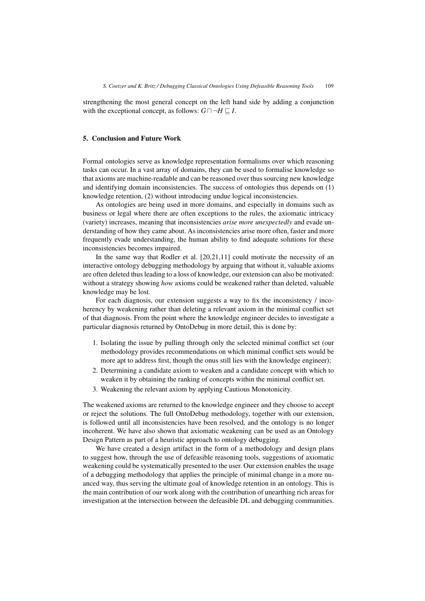strengthening the most general concept on the left hand side by adding a conjunction with the exceptional concept, as follows:  $G \sqcap \neg H \sqsubseteq I$ .

## 5. Conclusion and Future Work

Formal ontologies serve as knowledge representation formalisms over which reasoning tasks can occur. In a vast array of domains, they can be used to formalise knowledge so that axioms are machine-readable and can be reasoned over thus sourcing new knowledge and identifying domain inconsistencies. The success of ontologies thus depends on (1) knowledge retention, (2) without introducing undue logical inconsistencies.

As ontologies are being used in more domains, and especially in domains such as business or legal where there are often exceptions to the rules, the axiomatic intricacy (variety) increases, meaning that inconsistencies *arise more unexpectedly* and evade understanding of how they came about. As inconsistencies arise more often, faster and more frequently evade understanding, the human ability to find adequate solutions for these inconsistencies becomes impaired.

In the same way that Rodler et al. [20,21,11] could motivate the necessity of an interactive ontology debugging methodology by arguing that without it, valuable axioms are often deleted thus leading to a loss of knowledge, our extension can also be motivated: without a strategy showing *how* axioms could be weakened rather than deleted, valuable knowledge may be lost.

For each diagnosis, our extension suggests a way to fix the inconsistency / incoherency by weakening rather than deleting a relevant axiom in the minimal conflict set of that diagnosis. From the point where the knowledge engineer decides to investigate a particular diagnosis returned by OntoDebug in more detail, this is done by:

- 1. Isolating the issue by pulling through only the selected minimal conflict set (our methodology provides recommendations on which minimal conflict sets would be more apt to address first, though the onus still lies with the knowledge engineer);
- 2. Determining a candidate axiom to weaken and a candidate concept with which to weaken it by obtaining the ranking of concepts within the minimal conflict set.
- 3. Weakening the relevant axiom by applying Cautious Monotonicity.

The weakened axioms are returned to the knowledge engineer and they choose to accept or reject the solutions. The full OntoDebug methodology, together with our extension, is followed until all inconsistencies have been resolved, and the ontology is no longer incoherent. We have also shown that axiomatic weakening can be used as an Ontology Design Pattern as part of a heuristic approach to ontology debugging.

We have created a design artifact in the form of a methodology and design plans to suggest how, through the use of defeasible reasoning tools, suggestions of axiomatic weakening could be systematically presented to the user. Our extension enables the usage of a debugging methodology that applies the principle of minimal change in a more nuanced way, thus serving the ultimate goal of knowledge retention in an ontology. This is the main contribution of our work along with the contribution of unearthing rich areas for investigation at the intersection between the defeasible DL and debugging communities.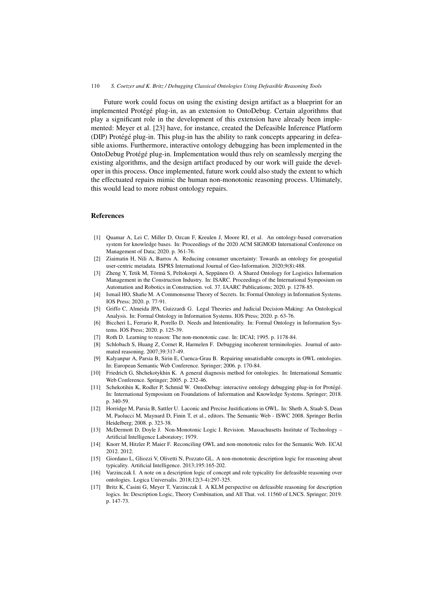Future work could focus on using the existing design artifact as a blueprint for an implemented Protégé plug-in, as an extension to OntoDebug. Certain algorithms that play a significant role in the development of this extension have already been implemented: Meyer et al. [23] have, for instance, created the Defeasible Inference Platform (DIP) Protégé plug-in. This plug-in has the ability to rank concepts appearing in defeasible axioms. Furthermore, interactive ontology debugging has been implemented in the OntoDebug Protégé plug-in. Implementation would thus rely on seamlessly merging the existing algorithms, and the design artifact produced by our work will guide the developer in this process. Once implemented, future work could also study the extent to which the effectuated repairs mimic the human non-monotonic reasoning process. Ultimately, this would lead to more robust ontology repairs.

# References

- [1] Quamar A, Lei C, Miller D, Ozcan F, Kreulen J, Moore RJ, et al. An ontology-based conversation system for knowledge bases. In: Proceedings of the 2020 ACM SIGMOD International Conference on Management of Data; 2020. p. 361-76.
- [2] Ziaimatin H, Nili A, Barros A. Reducing consumer uncertainty: Towards an ontology for geospatial user-centric metadata. ISPRS International Journal of Geo-Information. 2020;9(8):488.
- [3] Zheng Y, Tetik M, Törmä S, Peltokorpi A, Seppänen O. A Shared Ontology for Logistics Information Management in the Construction Industry. In: ISARC. Proceedings of the International Symposium on Automation and Robotics in Construction. vol. 37. IAARC Publications; 2020. p. 1278-85.
- [4] Ismail HO, Shafie M. A Commonsense Theory of Secrets. In: Formal Ontology in Information Systems. IOS Press; 2020. p. 77-91.
- [5] Griffo C, Almeida JPA, Guizzardi G. Legal Theories and Judicial Decision-Making: An Ontological Analysis. In: Formal Ontology in Information Systems. IOS Press; 2020. p. 63-76.
- [6] Biccheri L, Ferrario R, Porello D. Needs and Intentionality. In: Formal Ontology in Information Systems. IOS Press; 2020. p. 125-39.
- [7] Roth D. Learning to reason: The non-monotonic case. In: IJCAI; 1995. p. 1178-84.
- [8] Schlobach S, Huang Z, Cornet R, Harmelen F. Debugging incoherent terminologies. Journal of automated reasoning. 2007;39:317-49.
- [9] Kalyanpur A, Parsia B, Sirin E, Cuenca-Grau B. Repairing unsatisfiable concepts in OWL ontologies. In: European Semantic Web Conference. Springer; 2006. p. 170-84.
- [10] Friedrich G, Shchekotykhin K. A general diagnosis method for ontologies. In: International Semantic Web Conference. Springer; 2005. p. 232-46.
- [11] Schekotihin K, Rodler P, Schmid W. OntoDebug: interactive ontology debugging plug-in for Protégé. In: International Symposium on Foundations of Information and Knowledge Systems. Springer; 2018. p. 340-59.
- [12] Horridge M, Parsia B, Sattler U. Laconic and Precise Justifications in OWL. In: Sheth A, Staab S, Dean M, Paolucci M, Maynard D, Finin T, et al., editors. The Semantic Web - ISWC 2008. Springer Berlin Heidelberg; 2008. p. 323-38.
- [13] McDermott D, Doyle J. Non-Monotonic Logic I. Revision. Massachusetts Institute of Technology Artificial Intelligence Laboratory; 1979.
- [14] Knorr M, Hitzler P, Maier F. Reconciling OWL and non-monotonic rules for the Semantic Web. ECAI 2012. 2012.
- [15] Giordano L, Gliozzi V, Olivetti N, Pozzato GL. A non-monotonic description logic for reasoning about typicality. Artificial Intelligence. 2013;195:165-202.
- [16] Varzinczak I. A note on a description logic of concept and role typicality for defeasible reasoning over ontologies. Logica Universalis. 2018;12(3-4):297-325.
- [17] Britz K, Casini G, Meyer T, Varzinczak I. A KLM perspective on defeasible reasoning for description logics. In: Description Logic, Theory Combination, and All That. vol. 11560 of LNCS. Springer; 2019. p. 147-73.